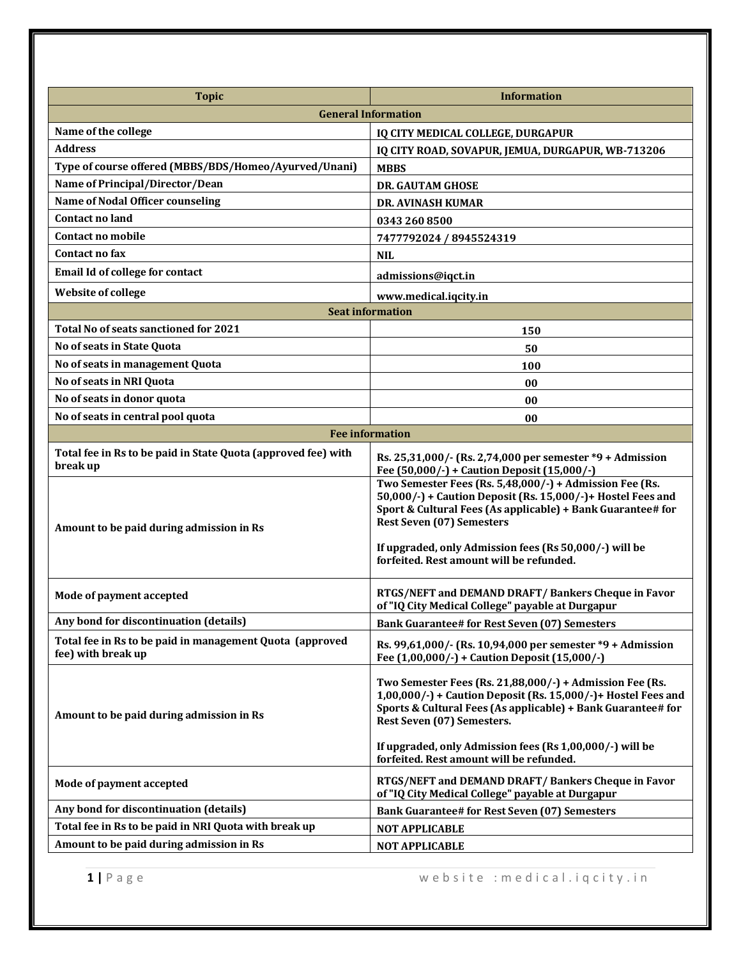| <b>Topic</b>                                                                   | <b>Information</b>                                                                                                                                                                                                                                                                                                                 |
|--------------------------------------------------------------------------------|------------------------------------------------------------------------------------------------------------------------------------------------------------------------------------------------------------------------------------------------------------------------------------------------------------------------------------|
|                                                                                | <b>General Information</b>                                                                                                                                                                                                                                                                                                         |
| Name of the college                                                            | IQ CITY MEDICAL COLLEGE, DURGAPUR                                                                                                                                                                                                                                                                                                  |
| <b>Address</b>                                                                 | IQ CITY ROAD, SOVAPUR, JEMUA, DURGAPUR, WB-713206                                                                                                                                                                                                                                                                                  |
| Type of course offered (MBBS/BDS/Homeo/Ayurved/Unani)                          | <b>MBBS</b>                                                                                                                                                                                                                                                                                                                        |
| Name of Principal/Director/Dean                                                | <b>DR. GAUTAM GHOSE</b>                                                                                                                                                                                                                                                                                                            |
| <b>Name of Nodal Officer counseling</b>                                        | <b>DR. AVINASH KUMAR</b>                                                                                                                                                                                                                                                                                                           |
| <b>Contact no land</b>                                                         | 0343 260 8500                                                                                                                                                                                                                                                                                                                      |
| Contact no mobile                                                              | 7477792024 / 8945524319                                                                                                                                                                                                                                                                                                            |
| Contact no fax                                                                 | <b>NIL</b>                                                                                                                                                                                                                                                                                                                         |
| Email Id of college for contact                                                | admissions@iqct.in                                                                                                                                                                                                                                                                                                                 |
| <b>Website of college</b>                                                      | www.medical.iqcity.in                                                                                                                                                                                                                                                                                                              |
| <b>Seat information</b>                                                        |                                                                                                                                                                                                                                                                                                                                    |
| Total No of seats sanctioned for 2021                                          | 150                                                                                                                                                                                                                                                                                                                                |
| No of seats in State Quota                                                     | 50                                                                                                                                                                                                                                                                                                                                 |
| No of seats in management Quota                                                | 100                                                                                                                                                                                                                                                                                                                                |
| No of seats in NRI Quota                                                       | 00                                                                                                                                                                                                                                                                                                                                 |
| No of seats in donor quota                                                     | 00                                                                                                                                                                                                                                                                                                                                 |
| No of seats in central pool quota                                              | 00                                                                                                                                                                                                                                                                                                                                 |
| <b>Fee information</b>                                                         |                                                                                                                                                                                                                                                                                                                                    |
| Total fee in Rs to be paid in State Quota (approved fee) with<br>break up      | Rs. 25,31,000/- (Rs. 2,74,000 per semester *9 + Admission<br>Fee (50,000/-) + Caution Deposit (15,000/-)                                                                                                                                                                                                                           |
| Amount to be paid during admission in Rs                                       | Two Semester Fees (Rs. 5,48,000/-) + Admission Fee (Rs.<br>50,000/-) + Caution Deposit (Rs. 15,000/-)+ Hostel Fees and<br>Sport & Cultural Fees (As applicable) + Bank Guarantee# for<br><b>Rest Seven (07) Semesters</b><br>If upgraded, only Admission fees (Rs 50,000/-) will be<br>forfeited. Rest amount will be refunded.    |
| Mode of payment accepted                                                       | RTGS/NEFT and DEMAND DRAFT/Bankers Cheque in Favor<br>of "IQ City Medical College" payable at Durgapur                                                                                                                                                                                                                             |
| Any bond for discontinuation (details)                                         | <b>Bank Guarantee# for Rest Seven (07) Semesters</b>                                                                                                                                                                                                                                                                               |
| Total fee in Rs to be paid in management Quota (approved<br>fee) with break up | Rs. 99,61,000/- (Rs. 10,94,000 per semester *9 + Admission<br>Fee (1,00,000/-) + Caution Deposit (15,000/-)                                                                                                                                                                                                                        |
| Amount to be paid during admission in Rs                                       | Two Semester Fees (Rs. 21,88,000/-) + Admission Fee (Rs.<br>$1,00,000/$ -) + Caution Deposit (Rs. 15,000/-)+ Hostel Fees and<br>Sports & Cultural Fees (As applicable) + Bank Guarantee# for<br>Rest Seven (07) Semesters.<br>If upgraded, only Admission fees (Rs 1,00,000/-) will be<br>forfeited. Rest amount will be refunded. |
| Mode of payment accepted                                                       | RTGS/NEFT and DEMAND DRAFT/ Bankers Cheque in Favor<br>of "IQ City Medical College" payable at Durgapur                                                                                                                                                                                                                            |
| Any bond for discontinuation (details)                                         | <b>Bank Guarantee# for Rest Seven (07) Semesters</b>                                                                                                                                                                                                                                                                               |
| Total fee in Rs to be paid in NRI Quota with break up                          | <b>NOT APPLICABLE</b>                                                                                                                                                                                                                                                                                                              |
| Amount to be paid during admission in Rs                                       | <b>NOT APPLICABLE</b>                                                                                                                                                                                                                                                                                                              |